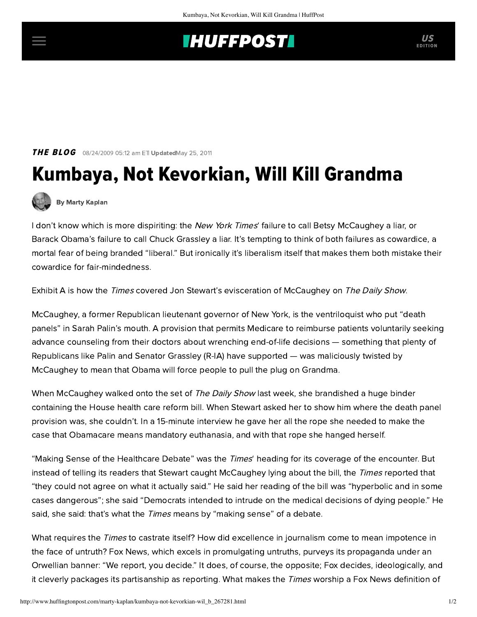## **INUFFPOST**

**THE BLOG** 08/24/2009 05:12 am ETI UpdatedMay 25, 2011

## Kumbaya, Not Kevorkian, Will Kill Grandma



[By Marty Kaplan](http://www.huffingtonpost.com/author/marty-kaplan)

I don't know which is more dispiriting: the New York Times' failure to call Betsy McCaughey a liar, or Barack Obama's failure to call Chuck Grassley a liar. It's tempting to think of both failures as cowardice, a mortal fear of being branded "liberal." But ironically it's liberalism itself that makes them both mistake their cowardice for fair-mindedness.

Exhibit A is how the Times covered [Jon Stewart's evisceration of McCaughey](http://www.thedailyshow.com/) on The Daily Show.

McCaughey, a former Republican lieutenant governor of New York, is the ventriloquist who put "death panels" in Sarah Palin's mouth. A provision that permits Medicare to reimburse patients voluntarily seeking advance counseling from their doctors about wrenching end-of-life decisions — something that plenty of Republicans like Palin and Senator Grassley (R-IA) have supported — was maliciously twisted by McCaughey to mean that Obama will force people to pull the plug on Grandma.

When McCaughey walked onto the set of The Daily Show last week, she brandished a huge binder containing the House health care reform bill. When Stewart asked her to show him where the death panel provision was, she couldn't. In a 15-minute interview he gave her all the rope she needed to make the case that Obamacare means mandatory euthanasia, and with that rope she hanged herself.

["Making Sense of the Healthcare Debate"](http://prescriptions.blogs.nytimes.com/2009/08/21/daily-show-exegesis-of-house-health-bill/?pagemode=print) was the Times' heading for its coverage of the encounter. But instead of telling its readers that Stewart caught McCaughey lying about the bill, the Times reported that "they could not agree on what it actually said." He said her reading of the bill was "hyperbolic and in some cases dangerous"; she said "Democrats intended to intrude on the medical decisions of dying people." He said, she said: that's what the Times means by "making sense" of a debate.

What requires the Times to castrate itself? How did excellence in journalism come to mean impotence in the face of untruth? Fox News, which excels in promulgating untruths, purveys its propaganda under an Orwellian banner: "We report, you decide." It does, of course, the opposite; Fox decides, ideologically, and it cleverly packages its partisanship as reporting. What makes the Times worship a Fox News definition of